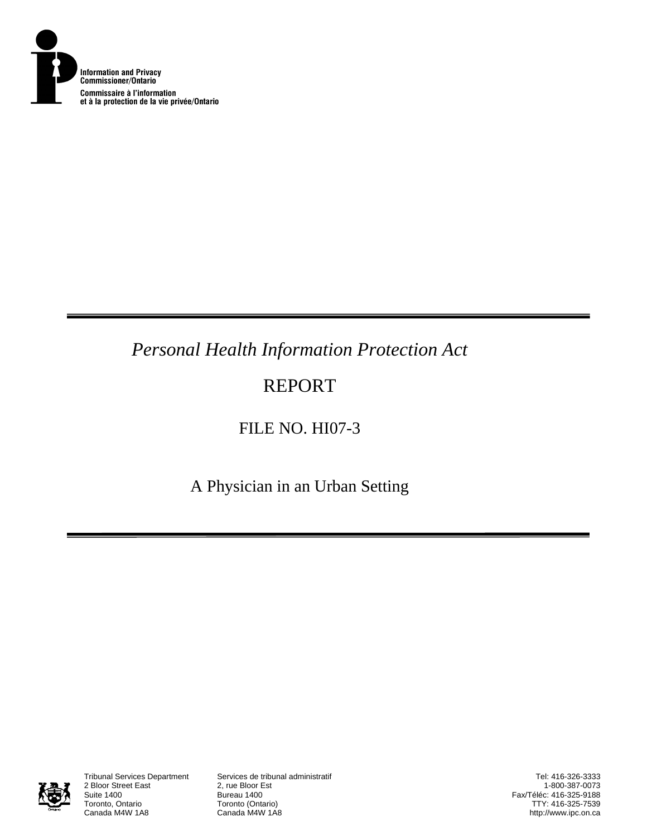

# *Personal Health Information Protection Act*

# REPORT

FILE NO. HI07-3

A Physician in an Urban Setting



2 Bloor Street East<br>Suite 1400 Suite 1400<br>Toronto, Ontario **Bureau 1400**<br>Toronto (Onta Toronto, Ontario **Toronto (Ontario)**<br>Canada M4W 1A8 **Canada M4W 1A8** 

Tribunal Services Department Services de tribunal administratif

Tel: 416-326-3333 1-800-387-0073 Fax/Téléc: 416-325-9188 TTY: 416-325-7539 http://www.ipc.on.ca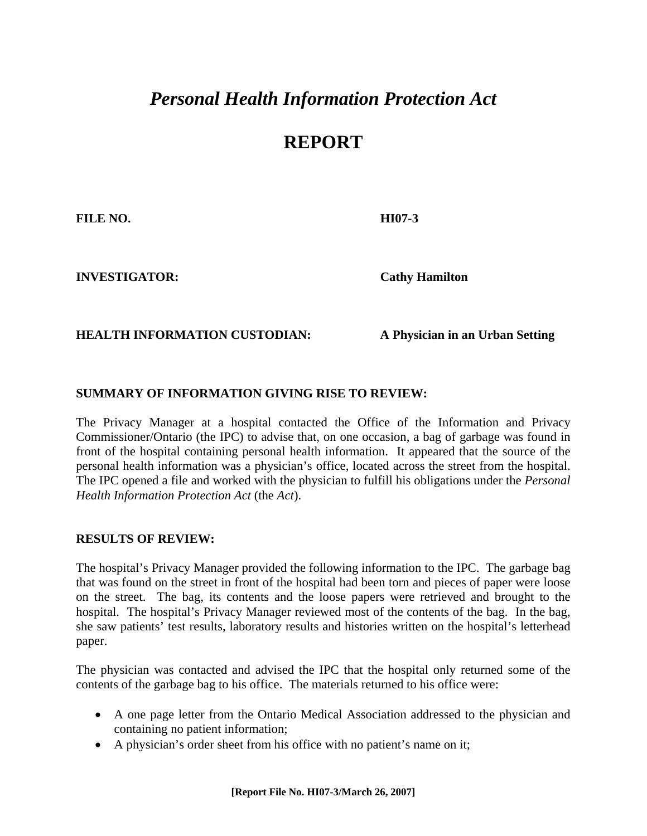## *Personal Health Information Protection Act*

## **REPORT**

**FILE NO. HI07-3** 

**INVESTIGATOR: Cathy Hamilton**

#### **HEALTH INFORMATION CUSTODIAN: A Physician in an Urban Setting**

### **SUMMARY OF INFORMATION GIVING RISE TO REVIEW:**

The Privacy Manager at a hospital contacted the Office of the Information and Privacy Commissioner/Ontario (the IPC) to advise that, on one occasion, a bag of garbage was found in front of the hospital containing personal health information. It appeared that the source of the personal health information was a physician's office, located across the street from the hospital. The IPC opened a file and worked with the physician to fulfill his obligations under the *Personal Health Information Protection Act* (the *Act*).

#### **RESULTS OF REVIEW:**

The hospital's Privacy Manager provided the following information to the IPC. The garbage bag that was found on the street in front of the hospital had been torn and pieces of paper were loose on the street. The bag, its contents and the loose papers were retrieved and brought to the hospital. The hospital's Privacy Manager reviewed most of the contents of the bag. In the bag, she saw patients' test results, laboratory results and histories written on the hospital's letterhead paper.

The physician was contacted and advised the IPC that the hospital only returned some of the contents of the garbage bag to his office. The materials returned to his office were:

- A one page letter from the Ontario Medical Association addressed to the physician and containing no patient information;
- A physician's order sheet from his office with no patient's name on it;